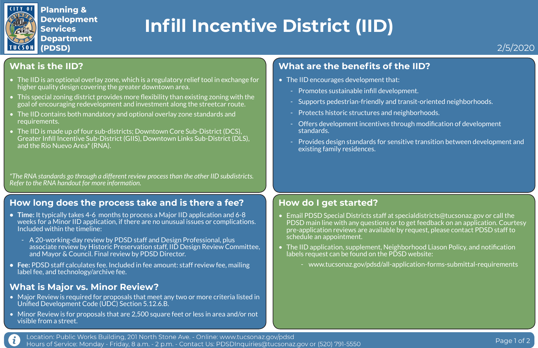

 $\mathbf{i}$ 

**Planning & Development Services Department** (PDSD)

### **What is the IID?**

- The IID is an optional overlay zone, which is a regulatory relief tool in exchange for higher quality design covering the greater downtown area.
- This special zoning district provides more flexibility than existing zoning with the goal of encouraging redevelopment and investment along the streetcar route.
- The IID contains both mandatory and optional overlay zone standards and requirements.
- The IID is made up of four sub-districts; Downtown Core Sub-District (DCS), Greater Infill Incentive Sub-District (GIIS), Downtown Links Sub-District (DLS), and the Rio Nuevo Area\* (RNA).
- The IID encourages development that:
	- Promotes sustainable infill development.
	- Supports pedestrian-friendly and transit-oriented neighborhoods.
	- Protects historic structures and neighborhoods.
	- Offers development incentives through modification of development standards.
	- Provides design standards for sensitive transition between development and existing family residences.

*\*The RNA standards go through a different review process than the other IID subdistricts. Refer to the RNA handout for more information.*

### **What are the benefits of the IID?**

### **How long does the process take and is there a fee?**

- **• Time:** It typically takes 4-6 months to process a Major IID application and 6-8 weeks for a Minor IID application, if there are no unusual issues or complications. Included within the timeline:
	- A 20-working-day review by PDSD staff and Design Professional, plus associate review by Historic Preservation staff, IID Design Review Committee, and Mayor & Council. Final review by PDSD Director.
- **• Fee:** PDSD staff calculates fee. Included in fee amount: staff review fee, mailing label fee, and technology/archive fee.

### **How do I get started?**

PDSD main line with any questions or to get feedback on an application. Courtesy pre-application reviews are available by request, please contact PDSD staff to

• The IID application, supplement, Neighborhood Liason Policy, and notification

- Email PDSD Special Districts staff at specialdistricts@tucsonaz.gov or call the schedule an appointment.
- labels request can be found on the PDSD website:
	-

- www.tucsonaz.gov/pdsd/all-application-forms-submittal-requirements

## **Infill Incentive District (IID)**



### **What is Major vs. Minor Review?**

- Major Review is required for proposals that meet any two or more criteria listed in Unified Development Code (UDC) Section 5.12.6.B.
- Minor Review is for proposals that are 2,500 square feet or less in area and/or not visible from a street.